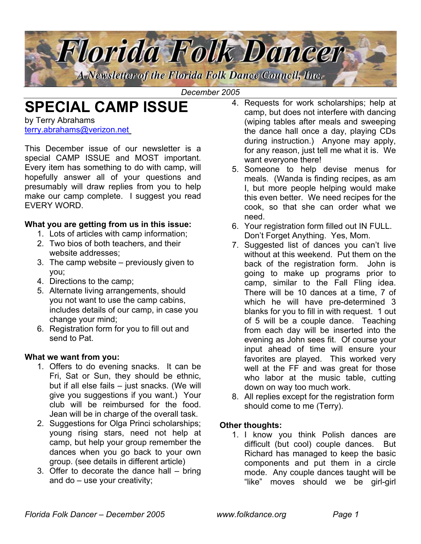

*December 2005*

# **SPECIAL CAMP ISSUE**

by Terry Abrahams [terry.abrahams@verizon.net](mailto:terry.abrahams@verizon.net)

This December issue of our newsletter is a special CAMP ISSUE and MOST important. Every item has something to do with camp, will hopefully answer all of your questions and presumably will draw replies from you to help make our camp complete. I suggest you read EVERY WORD.

## **What you are getting from us in this issue:**

- 1. Lots of articles with camp information;
- 2. Two bios of both teachers, and their website addresses;
- 3. The camp website previously given to you;
- 4. Directions to the camp;
- 5. Alternate living arrangements, should you not want to use the camp cabins, includes details of our camp, in case you change your mind;
- 6. Registration form for you to fill out and send to Pat.

# **What we want from you:**

- 1. Offers to do evening snacks. It can be Fri, Sat or Sun, they should be ethnic, but if all else fails – just snacks. (We will give you suggestions if you want.) Your club will be reimbursed for the food. Jean will be in charge of the overall task.
- 2. Suggestions for Olga Princi scholarships; young rising stars, need not help at camp, but help your group remember the dances when you go back to your own group. (see details in different article)
- 3. Offer to decorate the dance hall bring and do – use your creativity;
- 4. Requests for work scholarships; help at camp, but does not interfere with dancing (wiping tables after meals and sweeping the dance hall once a day, playing CDs during instruction.) Anyone may apply, for any reason, just tell me what it is. We want everyone there!
- 5. Someone to help devise menus for meals. (Wanda is finding recipes, as am I, but more people helping would make this even better. We need recipes for the cook, so that she can order what we need.
- 6. Your registration form filled out IN FULL. Don't Forget Anything. Yes, Mom.
- 7. Suggested list of dances you can't live without at this weekend. Put them on the back of the registration form. John is going to make up programs prior to camp, similar to the Fall Fling idea. There will be 10 dances at a time, 7 of which he will have pre-determined 3 blanks for you to fill in with request. 1 out of 5 will be a couple dance. Teaching from each day will be inserted into the evening as John sees fit. Of course your input ahead of time will ensure your favorites are played. This worked very well at the FF and was great for those who labor at the music table, cutting down on way too much work.
- 8. All replies except for the registration form should come to me (Terry).

# **Other thoughts:**

1. I know you think Polish dances are difficult (but cool) couple dances. But Richard has managed to keep the basic components and put them in a circle mode. Any couple dances taught will be "like" moves should we be girl-girl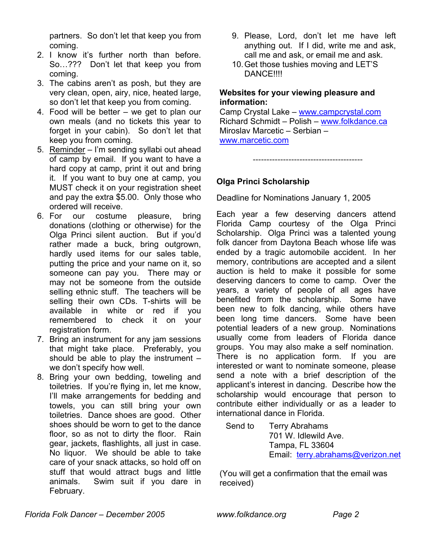partners. So don't let that keep you from coming.

- 2. I know it's further north than before. So…??? Don't let that keep you from coming.
- 3. The cabins aren't as posh, but they are very clean, open, airy, nice, heated large, so don't let that keep you from coming.
- 4. Food will be better we get to plan our own meals (and no tickets this year to forget in your cabin). So don't let that keep you from coming.
- 5. Reminder I'm sending syllabi out ahead of camp by email. If you want to have a hard copy at camp, print it out and bring it. If you want to buy one at camp, you MUST check it on your registration sheet and pay the extra \$5.00. Only those who ordered will receive.
- 6. For our costume pleasure, bring donations (clothing or otherwise) for the Olga Princi silent auction. But if you'd rather made a buck, bring outgrown, hardly used items for our sales table, putting the price and your name on it, so someone can pay you. There may or may not be someone from the outside selling ethnic stuff. The teachers will be selling their own CDs. T-shirts will be available in white or red if you remembered to check it on your registration form.
- 7. Bring an instrument for any jam sessions that might take place. Preferably, you should be able to play the instrument – we don't specify how well.
- 8. Bring your own bedding, toweling and toiletries. If you're flying in, let me know, I'll make arrangements for bedding and towels, you can still bring your own toiletries. Dance shoes are good. Other shoes should be worn to get to the dance floor, so as not to dirty the floor. Rain gear, jackets, flashlights, all just in case. No liquor. We should be able to take care of your snack attacks, so hold off on stuff that would attract bugs and little animals. Swim suit if you dare in February.
- 9. Please, Lord, don't let me have left anything out. If I did, write me and ask, call me and ask, or email me and ask.
- 10. Get those tushies moving and LET'S DANCE!!!!

# **Websites for your viewing pleasure and information:**

Camp Crystal Lake – [www.campcrystal.com](http://www.campcrystal.com/) Richard Schmidt – Polish – [www.folkdance.ca](http://www.folkdance.ca/)  Miroslav Marcetic – Serbian –

[www.marcetic.com](http://www.marcetic.com/)

----------------------------------------

# **Olga Princi Scholarship**

Deadline for Nominations January 1, 2005

Each year a few deserving dancers attend Florida Camp courtesy of the Olga Princi Scholarship. Olga Princi was a talented young folk dancer from Daytona Beach whose life was ended by a tragic automobile accident. In her memory, contributions are accepted and a silent auction is held to make it possible for some deserving dancers to come to camp. Over the years, a variety of people of all ages have benefited from the scholarship. Some have been new to folk dancing, while others have been long time dancers. Some have been potential leaders of a new group. Nominations usually come from leaders of Florida dance groups. You may also make a self nomination. There is no application form. If you are interested or want to nominate someone, please send a note with a brief description of the applicant's interest in dancing. Describe how the scholarship would encourage that person to contribute either individually or as a leader to international dance in Florida.

Send to Terry Abrahams 701 W. Idlewild Ave. Tampa, FL 33604 Email: [terry.abrahams@verizon.net](mailto:terry.abrahams@verizon.net)

(You will get a confirmation that the email was received)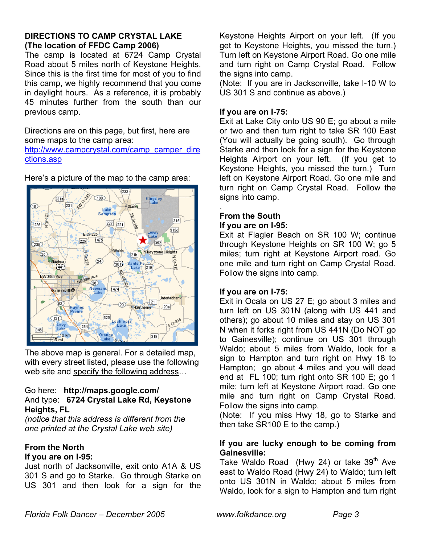## **DIRECTIONS TO CAMP CRYSTAL LAKE (The location of FFDC Camp 2006)**

The camp is located at 6724 Camp Crystal Road about 5 miles north of Keystone Heights. Since this is the first time for most of you to find this camp, we highly recommend that you come in daylight hours. As a reference, it is probably 45 minutes further from the south than our previous camp.

Directions are on this page, but first, here are some maps to the camp area:

[http://www.campcrystal.com/camp\\_camper\\_dire](http://www.campcrystal.com/camp_camper_directions.asp) [ctions.asp](http://www.campcrystal.com/camp_camper_directions.asp)



Here's a picture of the map to the camp area:

The above map is general. For a detailed map, with every street listed, please use the following web site and specify the following address…

#### Go here: **http://maps.google.com/**  And type: **6724 Crystal Lake Rd, Keystone Heights, FL**

*(notice that this address is different from the one printed at the Crystal Lake web site)* 

#### **From the North If you are on I-95:**

Just north of Jacksonville, exit onto A1A & US 301 S and go to Starke. Go through Starke on US 301 and then look for a sign for the

Keystone Heights Airport on your left. (If you get to Keystone Heights, you missed the turn.) Turn left on Keystone Airport Road. Go one mile and turn right on Camp Crystal Road. Follow the signs into camp.

(Note: If you are in Jacksonville, take I-10 W to US 301 S and continue as above.)

# **If you are on I-75:**

Exit at Lake City onto US 90 E; go about a mile or two and then turn right to take SR 100 East (You will actually be going south). Go through Starke and then look for a sign for the Keystone Heights Airport on your left. (If you get to Keystone Heights, you missed the turn.) Turn left on Keystone Airport Road. Go one mile and turn right on Camp Crystal Road. Follow the signs into camp.

#### . **From the South**

# **If you are on I-95:**

Exit at Flagler Beach on SR 100 W; continue through Keystone Heights on SR 100 W; go 5 miles; turn right at Keystone Airport road. Go one mile and turn right on Camp Crystal Road. Follow the signs into camp.

# **If you are on I-75:**

Exit in Ocala on US 27 E; go about 3 miles and turn left on US 301N (along with US 441 and others); go about 10 miles and stay on US 301 N when it forks right from US 441N (Do NOT go to Gainesville); continue on US 301 through Waldo; about 5 miles from Waldo, look for a sign to Hampton and turn right on Hwy 18 to Hampton; go about 4 miles and you will dead end at FL 100; turn right onto SR 100 E; go 1 mile; turn left at Keystone Airport road. Go one mile and turn right on Camp Crystal Road. Follow the signs into camp.

(Note: If you miss Hwy 18, go to Starke and then take SR100 E to the camp.)

## **If you are lucky enough to be coming from Gainesville:**

Take Waldo Road (Hwy 24) or take  $39<sup>th</sup>$  Ave east to Waldo Road (Hwy 24) to Waldo; turn left onto US 301N in Waldo; about 5 miles from Waldo, look for a sign to Hampton and turn right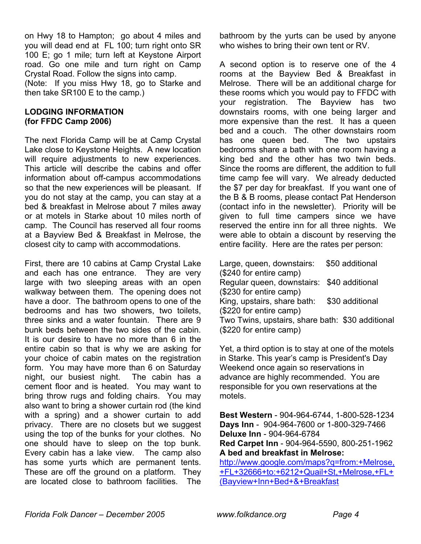on Hwy 18 to Hampton; go about 4 miles and you will dead end at FL 100; turn right onto SR 100 E; go 1 mile; turn left at Keystone Airport road. Go one mile and turn right on Camp Crystal Road. Follow the signs into camp.

(Note: If you miss Hwy 18, go to Starke and then take SR100 E to the camp.)

#### **LODGING INFORMATION (for FFDC Camp 2006)**

The next Florida Camp will be at Camp Crystal Lake close to Keystone Heights. A new location will require adjustments to new experiences. This article will describe the cabins and offer information about off-campus accommodations so that the new experiences will be pleasant. If you do not stay at the camp, you can stay at a bed & breakfast in Melrose about 7 miles away or at motels in Starke about 10 miles north of camp. The Council has reserved all four rooms at a Bayview Bed & Breakfast in Melrose, the closest city to camp with accommodations.

First, there are 10 cabins at Camp Crystal Lake and each has one entrance. They are very large with two sleeping areas with an open walkway between them. The opening does not have a door. The bathroom opens to one of the bedrooms and has two showers, two toilets, three sinks and a water fountain. There are 9 bunk beds between the two sides of the cabin. It is our desire to have no more than 6 in the entire cabin so that is why we are asking for your choice of cabin mates on the registration form. You may have more than 6 on Saturday night, our busiest night. The cabin has a cement floor and is heated. You may want to bring throw rugs and folding chairs. You may also want to bring a shower curtain rod (the kind with a spring) and a shower curtain to add privacy. There are no closets but we suggest using the top of the bunks for your clothes. No one should have to sleep on the top bunk. Every cabin has a lake view. The camp also has some yurts which are permanent tents. These are off the ground on a platform. They are located close to bathroom facilities. The

bathroom by the yurts can be used by anyone who wishes to bring their own tent or RV.

A second option is to reserve one of the 4 rooms at the Bayview Bed & Breakfast in Melrose. There will be an additional charge for these rooms which you would pay to FFDC with your registration. The Bayview has two downstairs rooms, with one being larger and more expensive than the rest. It has a queen bed and a couch. The other downstairs room has one queen bed. The two upstairs bedrooms share a bath with one room having a king bed and the other has two twin beds. Since the rooms are different, the addition to full time camp fee will vary. We already deducted the \$7 per day for breakfast. If you want one of the B & B rooms, please contact Pat Henderson (contact info in the newsletter). Priority will be given to full time campers since we have reserved the entire inn for all three nights. We were able to obtain a discount by reserving the entire facility. Here are the rates per person:

Large, queen, downstairs: \$50 additional (\$240 for entire camp) Regular queen, downstairs: \$40 additional (\$230 for entire camp) King, upstairs, share bath: \$30 additional (\$220 for entire camp) Two Twins, upstairs, share bath: \$30 additional (\$220 for entire camp)

Yet, a third option is to stay at one of the motels in Starke. This year's camp is President's Day Weekend once again so reservations in advance are highly recommended. You are responsible for you own reservations at the motels.

**Best Western** - 904-964-6744, 1-800-528-1234 **Days Inn** - 904-964-7600 or 1-800-329-7466 **Deluxe Inn** - 904-964-6784 **Red Carpet Inn** - 904-964-5590, 800-251-1962 **A bed and breakfast in Melrose:** 

[http://www.google.com/maps?q=from:+Melrose,](http://www.google.com/maps?q=from:+Melrose,+FL+32666+to:+6212+Quail+St,+Melrose,+FL+%28Bayview+Inn+Bed+&+Breakfast) [+FL+32666+to:+6212+Quail+St,+Melrose,+FL+](http://www.google.com/maps?q=from:+Melrose,+FL+32666+to:+6212+Quail+St,+Melrose,+FL+%28Bayview+Inn+Bed+&+Breakfast) [\(Bayview+Inn+Bed+&+Breakfast](http://www.google.com/maps?q=from:+Melrose,+FL+32666+to:+6212+Quail+St,+Melrose,+FL+%28Bayview+Inn+Bed+&+Breakfast)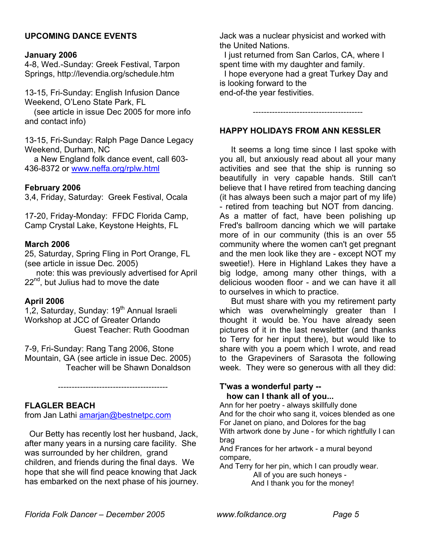## **UPCOMING DANCE EVENTS**

#### **January 2006**

4-8, Wed.-Sunday: Greek Festival, Tarpon Springs, http://levendia.org/schedule.htm

13-15, Fri-Sunday: English Infusion Dance Weekend, O'Leno State Park, FL

 (see article in issue Dec 2005 for more info and contact info)

13-15, Fri-Sunday: Ralph Page Dance Legacy Weekend, Durham, NC

 a New England folk dance event, call 603- 436-8372 or www.neffa.org/rplw.html

#### **February 2006**

3,4, Friday, Saturday: Greek Festival, Ocala

17-20, Friday-Monday: FFDC Florida Camp, Camp Crystal Lake, Keystone Heights, FL

#### **March 2006**

25, Saturday, Spring Fling in Port Orange, FL (see article in issue Dec. 2005)

 note: this was previously advertised for April 22<sup>nd</sup>, but Julius had to move the date

#### **April 2006**

1,2, Saturday, Sunday: 19<sup>th</sup> Annual Israeli Workshop at JCC of Greater Orlando Guest Teacher: Ruth Goodman

7-9, Fri-Sunday: Rang Tang 2006, Stone Mountain, GA (see article in issue Dec. 2005) Teacher will be Shawn Donaldson

----------------------------------------

#### **FLAGLER BEACH**

from Jan Lathi amarjan@bestnetpc.com

 Our Betty has recently lost her husband, Jack, after many years in a nursing care facility. She was surrounded by her children, grand children, and friends during the final days. We hope that she will find peace knowing that Jack has embarked on the next phase of his journey. Jack was a nuclear physicist and worked with the United Nations.

 I just returned from San Carlos, CA, where I spent time with my daughter and family.

 I hope everyone had a great Turkey Day and is looking forward to the end-of-the year festivities.

----------------------------------------

#### **HAPPY HOLIDAYS FROM ANN KESSLER**

It seems a long time since I last spoke with you all, but anxiously read about all your many activities and see that the ship is running so beautifully in very capable hands. Still can't believe that I have retired from teaching dancing (it has always been such a major part of my life) - retired from teaching but NOT from dancing. As a matter of fact, have been polishing up Fred's ballroom dancing which we will partake more of in our community (this is an over 55 community where the women can't get pregnant and the men look like they are - except NOT my sweetie!). Here in Highland Lakes they have a big lodge, among many other things, with a delicious wooden floor - and we can have it all to ourselves in which to practice.

But must share with you my retirement party which was overwhelmingly greater than I thought it would be. You have already seen pictures of it in the last newsletter (and thanks to Terry for her input there), but would like to share with you a poem which I wrote, and read to the Grapeviners of Sarasota the following week. They were so generous with all they did:

#### **T'was a wonderful party - how can I thank all of you...**

Ann for her poetry - always skillfully done

And for the choir who sang it, voices blended as one For Janet on piano, and Dolores for the bag

With artwork done by June - for which rightfully I can brag

And Frances for her artwork - a mural beyond compare,

And Terry for her pin, which I can proudly wear.

 All of you are such honeys - And I thank you for the money!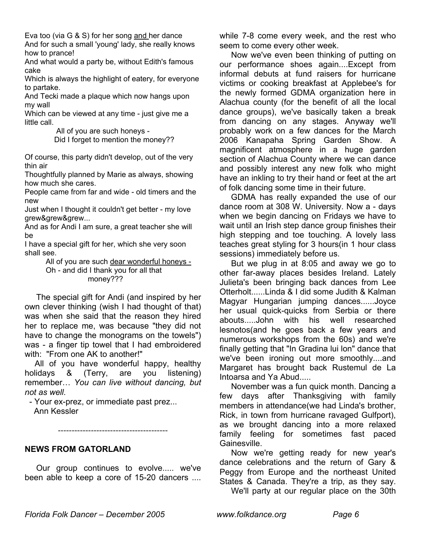Eva too (via G & S) for her song and her dance And for such a small 'young' lady, she really knows how to prance!

And what would a party be, without Edith's famous cake

Which is always the highlight of eatery, for everyone to partake.

And Tecki made a plaque which now hangs upon my wall

Which can be viewed at any time - just give me a little call.

> All of you are such honeys - Did I forget to mention the money??

Of course, this party didn't develop, out of the very thin air

Thoughtfully planned by Marie as always, showing how much she cares.

People came from far and wide - old timers and the new

Just when I thought it couldn't get better - my love grew&grew&grew...

And as for Andi I am sure, a great teacher she will be

I have a special gift for her, which she very soon shall see.

> All of you are such dear wonderful honeys - Oh - and did I thank you for all that money???

The special gift for Andi (and inspired by her own clever thinking (wish I had thought of that) was when she said that the reason they hired her to replace me, was because "they did not have to change the monograms on the towels") was - a finger tip towel that I had embroidered with: "From one AK to another!"

 All of you have wonderful happy, healthy holidays & (Terry, are you listening) remember… *You can live without dancing, but not as well.*

- Your ex-prez, or immediate past prez...

Ann Kessler

**NEWS FROM GATORLAND** 

Our group continues to evolve..... we've been able to keep a core of 15-20 dancers ....

----------------------------------------

while 7-8 come every week, and the rest who seem to come every other week.

Now we've even been thinking of putting on our performance shoes again....Except from informal debuts at fund raisers for hurricane victims or cooking breakfast at Applebee's for the newly formed GDMA organization here in Alachua county (for the benefit of all the local dance groups), we've basically taken a break from dancing on any stages. Anyway we'll probably work on a few dances for the March 2006 Kanapaha Spring Garden Show. A magnificent atmosphere in a huge garden section of Alachua County where we can dance and possibly interest any new folk who might have an inkling to try their hand or feet at the art of folk dancing some time in their future.

 GDMA has really expanded the use of our dance room at 308 W. University. Now a - days when we begin dancing on Fridays we have to wait until an Irish step dance group finishes their high stepping and toe touching. A lovely lass teaches great styling for 3 hours(in 1 hour class sessions) immediately before us.

But we plug in at 8:05 and away we go to other far-away places besides Ireland. Lately Julieta's been bringing back dances from Lee Otterholt......Linda & I did some Judith & Kalman Magyar Hungarian jumping dances......Joyce her usual quick-quicks from Serbia or there abouts.....John with his well researched lesnotos(and he goes back a few years and numerous workshops from the 60s) and we're finally getting that "In Gradina lui lon" dance that we've been ironing out more smoothly....and Margaret has brought back Rustemul de La Intoarsa and Ya Abud.....

 November was a fun quick month. Dancing a few days after Thanksgiving with family members in attendance(we had Linda's brother, Rick, in town from hurricane ravaged Gulfport), as we brought dancing into a more relaxed family feeling for sometimes fast paced Gainesville.

Now we're getting ready for new year's dance celebrations and the return of Gary & Peggy from Europe and the northeast United States & Canada. They're a trip, as they say.

We'll party at our regular place on the 30th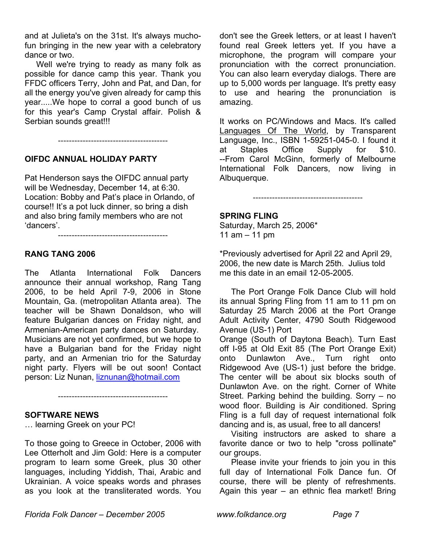and at Julieta's on the 31st. It's always muchofun bringing in the new year with a celebratory dance or two.

Well we're trying to ready as many folk as possible for dance camp this year. Thank you FFDC officers Terry, John and Pat, and Dan, for all the energy you've given already for camp this year.....We hope to corral a good bunch of us for this year's Camp Crystal affair. Polish & Serbian sounds great!!!

----------------------------------------

## **OIFDC ANNUAL HOLIDAY PARTY**

Pat Henderson says the OIFDC annual party will be Wednesday, December 14, at 6:30. Location: Bobby and Pat's place in Orlando, of course!! It's a pot luck dinner, so bring a dish and also bring family members who are not 'dancers'.

----------------------------------------

**RANG TANG 2006** 

The Atlanta International Folk Dancers announce their annual workshop, Rang Tang 2006, to be held April 7-9, 2006 in Stone Mountain, Ga. (metropolitan Atlanta area). The teacher will be Shawn Donaldson, who will feature Bulgarian dances on Friday night, and Armenian-American party dances on Saturday. Musicians are not yet confirmed, but we hope to have a Bulgarian band for the Friday night party, and an Armenian trio for the Saturday night party. Flyers will be out soon! Contact person: Liz Nunan, [liznunan@hotmail.com](mailto:liznunan@hotmail.com)

#### **SOFTWARE NEWS**

… learning Greek on your PC!

To those going to Greece in October, 2006 with Lee Otterholt and Jim Gold: Here is a computer program to learn some Greek, plus 30 other languages, including Yiddish, Thai, Arabic and Ukrainian. A voice speaks words and phrases as you look at the transliterated words. You

----------------------------------------

don't see the Greek letters, or at least I haven't found real Greek letters yet. If you have a microphone, the program will compare your pronunciation with the correct pronunciation. You can also learn everyday dialogs. There are up to 5,000 words per language. It's pretty easy to use and hearing the pronunciation is amazing.

It works on PC/Windows and Macs. It's called Languages Of The World, by Transparent Language, Inc., ISBN 1-59251-045-0. I found it at Staples Office Supply for \$10. --From Carol McGinn, formerly of Melbourne International Folk Dancers, now living in Albuquerque.

----------------------------------------

# **SPRING FLING**

Saturday, March 25, 2006\* 11 am – 11 pm

\*Previously advertised for April 22 and April 29, 2006, the new date is March 25th. Julius told me this date in an email 12-05-2005.

 The Port Orange Folk Dance Club will hold its annual Spring Fling from 11 am to 11 pm on Saturday 25 March 2006 at the Port Orange Adult Activity Center, 4790 South Ridgewood Avenue (US-1) Port Orange (South of Daytona Beach). Turn East off I-95 at Old Exit 85 (The Port Orange Exit) onto Dunlawton Ave., Turn right onto Ridgewood Ave (US-1) just before the bridge. The center will be about six blocks south of Dunlawton Ave. on the right. Corner of White Street. Parking behind the building. Sorry – no wood floor. Building is Air conditioned. Spring Fling is a full day of request international folk dancing and is, as usual, free to all dancers!

Visiting instructors are asked to share a favorite dance or two to help "cross pollinate" our groups.

Please invite your friends to join you in this full day of International Folk Dance fun. Of course, there will be plenty of refreshments. Again this year – an ethnic flea market! Bring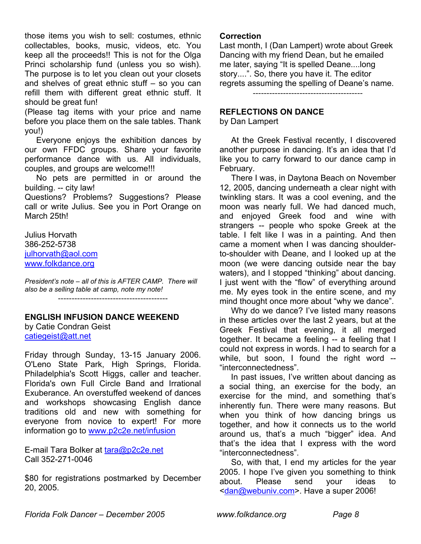those items you wish to sell: costumes, ethnic collectables, books, music, videos, etc. You keep all the proceeds!! This is not for the Olga Princi scholarship fund (unless you so wish). The purpose is to let you clean out your closets and shelves of great ethnic stuff – so you can refill them with different great ethnic stuff. It should be great fun!

(Please tag items with your price and name before you place them on the sale tables. Thank you!)

Everyone enjoys the exhibition dances by our own FFDC groups. Share your favorite performance dance with us. All individuals, couples, and groups are welcome!!!

No pets are permitted in or around the building. -- city law!

Questions? Problems? Suggestions? Please call or write Julius. See you in Port Orange on March 25th!

Julius Horvath 386-252-5738 [julhorvath@aol.com](mailto:julhorvath@aol.com) [www.folkdance.org](http://www.folkdance.org/)

*President's note – all of this is AFTER CAMP. There will also be a selling table at camp, note my note!*

----------------------------------------

## **ENGLISH INFUSION DANCE WEEKEND**

by Catie Condran Geist catiegeist@att.net

Friday through Sunday, 13-15 January 2006. O'Leno State Park, High Springs, Florida. Philadelphia's Scott Higgs, caller and teacher. Florida's own Full Circle Band and Irrational Exuberance. An overstuffed weekend of dances and workshops showcasing English dance traditions old and new with something for everyone from novice to expert! For more information go to [www.p2c2e.net/infusion](http://www.p2c2e.net/infusion)

E-mail Tara Bolker at [tara@p2c2e.net](mailto:tara@p2c2e.net) Call 352-271-0046

\$80 for registrations postmarked by December 20, 2005.

#### **Correction**

Last month, I (Dan Lampert) wrote about Greek Dancing with my friend Dean, but he emailed me later, saying "It is spelled Deane....long story....". So, there you have it. The editor regrets assuming the spelling of Deane's name.

----------------------------------------

#### **REFLECTIONS ON DANCE**

by Dan Lampert

At the Greek Festival recently, I discovered another purpose in dancing. It's an idea that I'd like you to carry forward to our dance camp in February.

 There I was, in Daytona Beach on November 12, 2005, dancing underneath a clear night with twinkling stars. It was a cool evening, and the moon was nearly full. We had danced much, and enjoyed Greek food and wine with strangers -- people who spoke Greek at the table. I felt like I was in a painting. And then came a moment when I was dancing shoulderto-shoulder with Deane, and I looked up at the moon (we were dancing outside near the bay waters), and I stopped "thinking" about dancing. I just went with the "flow" of everything around me. My eyes took in the entire scene, and my mind thought once more about "why we dance".

Why do we dance? I've listed many reasons in these articles over the last 2 years, but at the Greek Festival that evening, it all merged together. It became a feeling -- a feeling that I could not express in words. I had to search for a while, but soon, I found the right word -- "interconnectedness".

In past issues, I've written about dancing as a social thing, an exercise for the body, an exercise for the mind, and something that's inherently fun. There were many reasons. But when you think of how dancing brings us together, and how it connects us to the world around us, that's a much "bigger" idea. And that's the idea that I express with the word "interconnectedness".

So, with that, I end my articles for the year 2005. I hope I've given you something to think about. Please send your ideas to <dan@webuniv.com>. Have a super 2006!